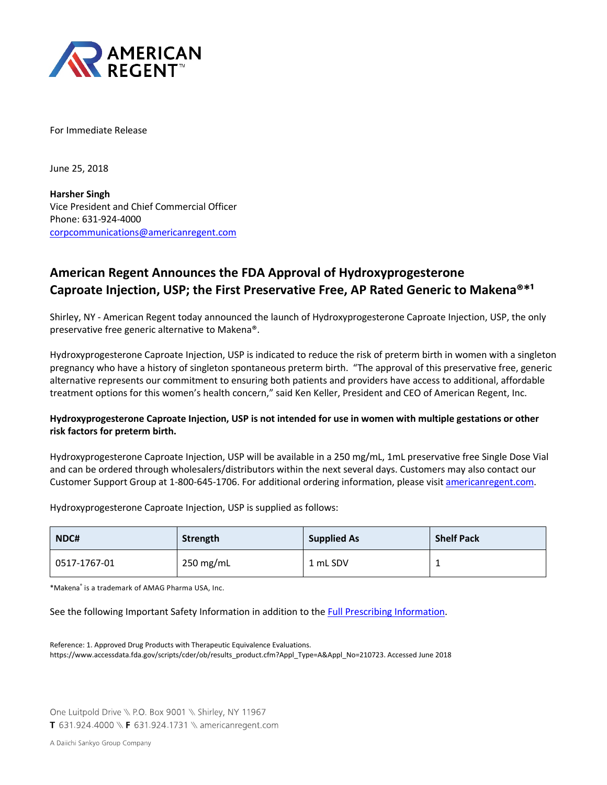

For Immediate Release

June 25, 2018

**Harsher Singh** Vice President and Chief Commercial Officer Phone: 631-924-4000 [corpcommunications@americanregent.com](mailto:corpcommunications@americanregent.com)

# **American Regent Announces the FDA Approval of Hydroxyprogesterone Caproate Injection, USP; the First Preservative Free, AP Rated Generic to Makena<sup>®\*1</sup>**

Shirley, NY - American Regent today announced the launch of Hydroxyprogesterone Caproate Injection, USP, the only preservative free generic alternative to Makena®.

Hydroxyprogesterone Caproate Injection, USP is indicated to reduce the risk of preterm birth in women with a singleton pregnancy who have a history of singleton spontaneous preterm birth. "The approval of this preservative free, generic alternative represents our commitment to ensuring both patients and providers have access to additional, affordable treatment options for this women's health concern," said Ken Keller, President and CEO of American Regent, Inc.

## **Hydroxyprogesterone Caproate Injection, USP is not intended for use in women with multiple gestations or other risk factors for preterm birth.**

Hydroxyprogesterone Caproate Injection, USP will be available in a 250 mg/mL, 1mL preservative free Single Dose Vial and can be ordered through wholesalers/distributors within the next several days. Customers may also contact our Customer Support Group at 1-800-645-1706. For additional ordering information, please visit [americanregent.com.](https://americanregent.com/our-products/hydroxyprogesterone-caproate-injection-usp/)

Hydroxyprogesterone Caproate Injection, USP is supplied as follows:

| NDC#         | Strength  | <b>Supplied As</b> | <b>Shelf Pack</b> |
|--------------|-----------|--------------------|-------------------|
| 0517-1767-01 | 250 mg/mL | 1 mL SDV           | -                 |

\*Makena® is a trademark of AMAG Pharma USA, Inc.

See the following Important Safety Information in addition to th[e Full Prescribing Information.](https://americanregent.com/media/2476/hydroxyprogesterone-prescribing-information-rev-7-18.pdf)

Reference: 1. Approved Drug Products with Therapeutic Equivalence Evaluations. [https://www.accessdata.fda.gov/scripts/cder/ob/results\\_product.cfm?Appl\\_Type=A&Appl\\_No=210723. Accessed June 2018](https://www.accessdata.fda.gov/scripts/cder/ob/results_product.cfm?Appl_Type=A&Appl_No=210723. Accessed June 2018)

One Luitpold Drive \\ P.O. Box 9001 \\ Shirley, NY 11967 T 631.924.4000 \\ F 631.924.1731 \\ americanregent.com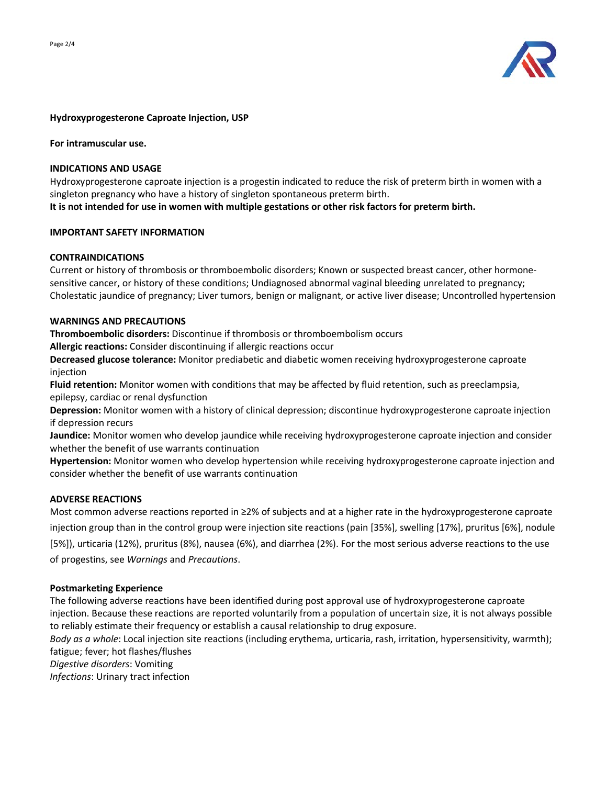

## **Hydroxyprogesterone Caproate Injection, USP**

**For intramuscular use.**

## **INDICATIONS AND USAGE**

Hydroxyprogesterone caproate injection is a progestin indicated to reduce the risk of preterm birth in women with a singleton pregnancy who have a history of singleton spontaneous preterm birth.

**It is not intended for use in women with multiple gestations or other risk factors for preterm birth.** 

## **IMPORTANT SAFETY INFORMATION**

## **CONTRAINDICATIONS**

Current or history of thrombosis or thromboembolic disorders; Known or suspected breast cancer, other hormonesensitive cancer, or history of these conditions; Undiagnosed abnormal vaginal bleeding unrelated to pregnancy; Cholestatic jaundice of pregnancy; Liver tumors, benign or malignant, or active liver disease; Uncontrolled hypertension

### **WARNINGS AND PRECAUTIONS**

**Thromboembolic disorders:** Discontinue if thrombosis or thromboembolism occurs

**Allergic reactions:** Consider discontinuing if allergic reactions occur

**Decreased glucose tolerance:** Monitor prediabetic and diabetic women receiving hydroxyprogesterone caproate injection

**Fluid retention:** Monitor women with conditions that may be affected by fluid retention, such as preeclampsia, epilepsy, cardiac or renal dysfunction

**Depression:** Monitor women with a history of clinical depression; discontinue hydroxyprogesterone caproate injection if depression recurs

**Jaundice:** Monitor women who develop jaundice while receiving hydroxyprogesterone caproate injection and consider whether the benefit of use warrants continuation

**Hypertension:** Monitor women who develop hypertension while receiving hydroxyprogesterone caproate injection and consider whether the benefit of use warrants continuation

## **ADVERSE REACTIONS**

Most common adverse reactions reported in ≥2% of subjects and at a higher rate in the hydroxyprogesterone caproate injection group than in the control group were injection site reactions (pain [35%], swelling [17%], pruritus [6%], nodule [5%]), urticaria (12%), pruritus (8%), nausea (6%), and diarrhea (2%). For the most serious adverse reactions to the use of progestins, see *Warnings* and *Precautions*.

#### **Postmarketing Experience**

The following adverse reactions have been identified during post approval use of hydroxyprogesterone caproate injection. Because these reactions are reported voluntarily from a population of uncertain size, it is not always possible to reliably estimate their frequency or establish a causal relationship to drug exposure.

*Body as a whole*: Local injection site reactions (including erythema, urticaria, rash, irritation, hypersensitivity, warmth); fatigue; fever; hot flashes/flushes

*Digestive disorders*: Vomiting

*Infections*: Urinary tract infection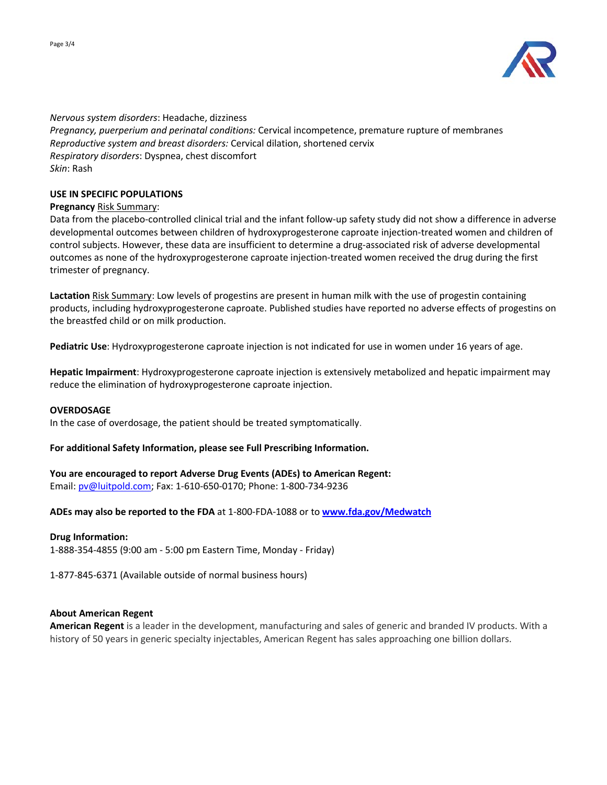

*Nervous system disorders*: Headache, dizziness *Pregnancy, puerperium and perinatal conditions:* Cervical incompetence, premature rupture of membranes *Reproductive system and breast disorders:* Cervical dilation, shortened cervix *Respiratory disorders*: Dyspnea, chest discomfort *Skin*: Rash

## **USE IN SPECIFIC POPULATIONS**

## **Pregnancy** Risk Summary:

Data from the placebo-controlled clinical trial and the infant follow-up safety study did not show a difference in adverse developmental outcomes between children of hydroxyprogesterone caproate injection-treated women and children of control subjects. However, these data are insufficient to determine a drug-associated risk of adverse developmental outcomes as none of the hydroxyprogesterone caproate injection-treated women received the drug during the first trimester of pregnancy.

**Lactation** Risk Summary: Low levels of progestins are present in human milk with the use of progestin containing products, including hydroxyprogesterone caproate. Published studies have reported no adverse effects of progestins on the breastfed child or on milk production.

**Pediatric Use**: Hydroxyprogesterone caproate injection is not indicated for use in women under 16 years of age.

**Hepatic Impairment**: Hydroxyprogesterone caproate injection is extensively metabolized and hepatic impairment may reduce the elimination of hydroxyprogesterone caproate injection.

#### **OVERDOSAGE**

In the case of overdosage, the patient should be treated symptomatically.

## **For additional Safety Information, please see Full Prescribing Information.**

**You are encouraged to report Adverse Drug Events (ADEs) to American Regent:** Email: [pv@luitpold.com;](mailto:pv@luitpold.com) Fax: 1-610-650-0170; Phone: 1-800-734-9236

**ADEs may also be reported to the FDA** at 1-800-FDA-1088 or to **[www.fda.gov/Medwatch](http://www.fda.gov/Medwatch)**

## **Drug Information:**

1-888-354-4855 (9:00 am - 5:00 pm Eastern Time, Monday - Friday)

1-877-845-6371 (Available outside of normal business hours)

## **About American Regent**

**American Regent** is a leader in the development, manufacturing and sales of generic and branded IV products. With a history of 50 years in generic specialty injectables, American Regent has sales approaching one billion dollars.